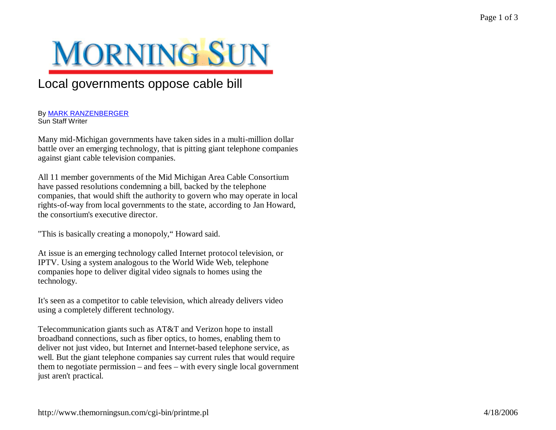## **MORNING SUN**

## Local governments oppose cable bill

## By MARK RANZENBERGER Sun Staff Writer

Many mid-Michigan governments have taken sides in a multi-million dollar battle over an emerging technology, that is pitting giant telephone companies against giant cable television companies.

All 11 member governments of the Mid Michigan Area Cable Consortium have passed resolutions condemning a bill, backed by the telephone companies, that would shift the authority to govern who may operate in local rights-of-way from local governments to the state, according to Jan Howard, the consortium's executive director.

"This is basically creating a monopoly,"Howard said.

At issue is an emerging technology called Internet protocol television, or IPTV. Using a system analogous to the World Wide Web, telephone companies hope to deliver digital video signals to homes using the technology.

It's seen as a competitor to cable television, which already delivers video using a completely different technology.

Telecommunication giants such as AT&T and Verizon hope to install broadband connections, such as fiber optics, to homes, enabling them to deliver not just video, but Internet and Internet-based telephone service, as well. But the giant telephone companies say current rules that would require them to negotiate permission – and fees – with every single local government just aren't practical.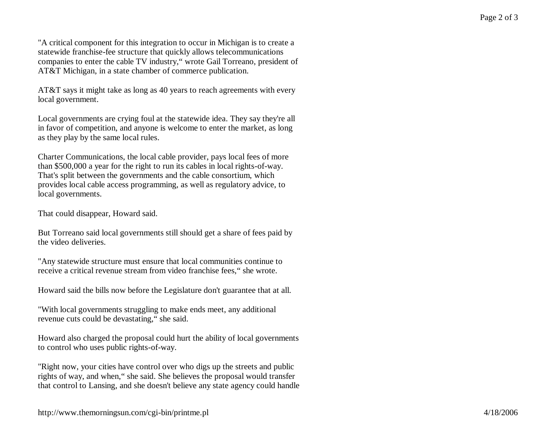"A critical component for this integration to occur in Michigan is to create a statewide franchise-fee structure that quickly allows telecommunications companies to enter the cable TV industry,"wrote Gail Torreano, president of AT&T Michigan, in a state chamber of commerce publication.

AT&T says it might take as long as 40 years to reach agreements with every local government.

Local governments are crying foul at the statewide idea. They say they're all in favor of competition, and anyone is welcome to enter the market, as long as they play by the same local rules.

Charter Communications, the local cable provider, pays local fees of more than \$500,000 a year for the right to run its cables in local rights-of-way. That's split between the governments and the cable consortium, which provides local cable access programming, as well as regulatory advice, to local governments.

That could disappear, Howard said.

But Torreano said local governments still should get a share of fees paid by the video deliveries.

"Any statewide structure must ensure that local communities continue to receive a critical revenue stream from video franchise fees," she wrote.

Howard said the bills now before the Legislature don't guarantee that at all.

"With local governments struggling to make ends meet, any additional revenue cuts could be devastating," she said.

Howard also charged the proposal could hurt the ability of local governments to control who uses public rights-of-way.

"Right now, your cities have control over who digs up the streets and public rights of way, and when," she said. She believes the proposal would transfer that control to Lansing, and she doesn't believe any state agency could handle